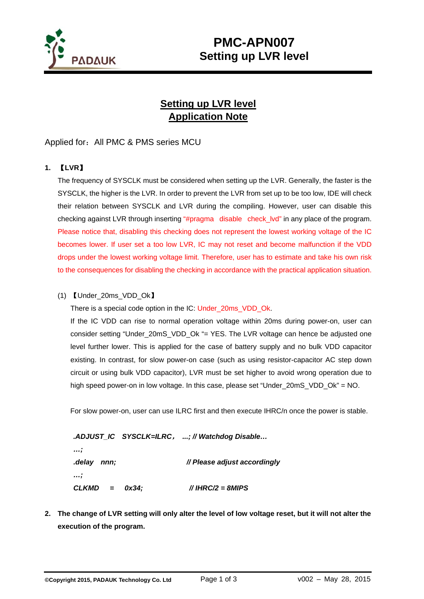

## **PMC-APN007 Setting up LVR level**

### **Setting up LVR level Application Note**

#### Applied for: All PMC & PMS series MCU

### **1.** 【**LVR**】

The frequency of SYSCLK must be considered when setting up the LVR. Generally, the faster is the SYSCLK, the higher is the LVR. In order to prevent the LVR from set up to be too low, IDE will check their relation between SYSCLK and LVR during the compiling. However, user can disable this checking against LVR through inserting "#pragma disable check\_lvd" in any place of the program. Please notice that, disabling this checking does not represent the lowest working voltage of the IC becomes lower. If user set a too low LVR, IC may not reset and become malfunction if the VDD drops under the lowest working voltage limit. Therefore, user has to estimate and take his own risk to the consequences for disabling the checking in accordance with the practical application situation.

#### (1) 【Under\_20ms\_VDD\_Ok】

There is a special code option in the IC: Under 20ms VDD Ok.

If the IC VDD can rise to normal operation voltage within 20ms during power-on, user can consider setting "Under\_20mS\_VDD\_Ok "= YES. The LVR voltage can hence be adjusted one level further lower. This is applied for the case of battery supply and no bulk VDD capacitor existing. In contrast, for slow power-on case (such as using resistor-capacitor AC step down circuit or using bulk VDD capacitor), LVR must be set higher to avoid wrong operation due to high speed power-on in low voltage. In this case, please set "Under\_20mS\_VDD\_Ok" = NO.

For slow power-on, user can use ILRC first and then execute IHRC/n once the power is stable.

 *.ADJUST\_IC SYSCLK=ILRC*, *...; // Watchdog Disable… …; .delay nnn; // Please adjust accordingly …; CLKMD = 0x34; // IHRC/2 = 8MIPS* 

**2. The change of LVR setting will only alter the level of low voltage reset, but it will not alter the execution of the program.**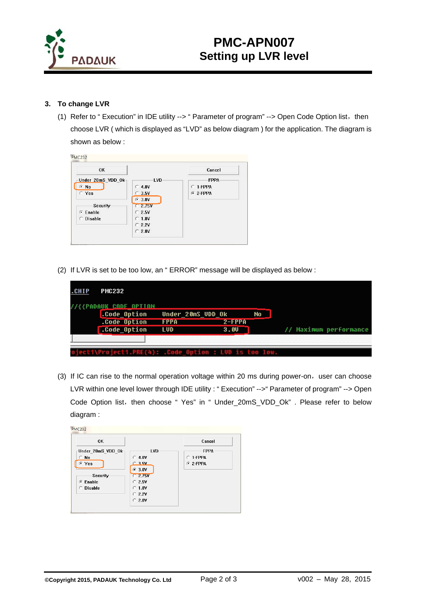

# **PMC-APN007 Setting up LVR level**

#### **3. To change LVR**

(1) Refer to "Execution" in IDE utility --> " Parameter of program" --> Open Code Option list, then choose LVR ( which is displayed as "LVD" as below diagram ) for the application. The diagram is shown as below :

| <b>OK</b>             |            | Cancel      |
|-----------------------|------------|-------------|
| Under 20mS VDD $0k_1$ | <b>LVD</b> | <b>FPPA</b> |
| $G$ No                | $C$ 4.0V   | $C$ 1-FPPA  |
| C Yes                 | $C$ 3.5V   | $G$ 2-FPPA  |
|                       | $G$ 3.0V   |             |
| Security              | $C$ 2.75V  |             |
| $G$ Enable            | $C$ 2.5V   |             |
| <b>Disable</b><br>C.  | $C$ 1.8V   |             |
|                       | $C$ 2.2V   |             |
|                       | $C$ 2.0V   |             |

(2) If LVR is set to be too low, an " ERROR" message will be displayed as below :

| <b>CHIP</b> | <b>PMC232</b><br><b>{PADAUK CADE APTIAN</b>          |                                         |                  |    |                        |
|-------------|------------------------------------------------------|-----------------------------------------|------------------|----|------------------------|
|             | .Code_Option<br>.Code Option<br>.Code Option         | Under 20mS UDD Ok<br><b>FPPA</b><br>LUD | $2-FPPA$<br>3.00 | No | // Maximum performance |
|             | ecti\Projecti.PRE(4): .Code_Option : LUD is too low. |                                         |                  |    |                        |

(3) If IC can rise to the normal operation voltage within 20 ms during power-on, user can choose LVR within one level lower through IDE utility : " Execution" -->" Parameter of program" --> Open Code Option list, then choose " Yes" in " Under 20mS VDD Ok" . Please refer to below diagram :